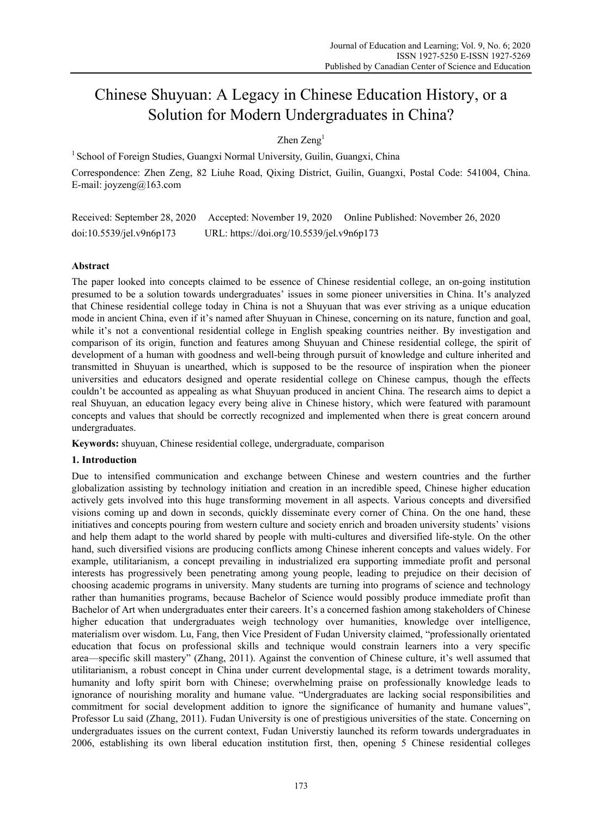# Chinese Shuyuan: A Legacy in Chinese Education History, or a Solution for Modern Undergraduates in China?

Zhen Zeng<sup>1</sup>

<sup>1</sup> School of Foreign Studies, Guangxi Normal University, Guilin, Guangxi, China

Correspondence: Zhen Zeng, 82 Liuhe Road, Qixing District, Guilin, Guangxi, Postal Code: 541004, China. E-mail: joyzeng@163.com

Received: September 28, 2020 Accepted: November 19, 2020 Online Published: November 26, 2020 doi:10.5539/jel.v9n6p173 URL: https://doi.org/10.5539/jel.v9n6p173

## **Abstract**

The paper looked into concepts claimed to be essence of Chinese residential college, an on-going institution presumed to be a solution towards undergraduates' issues in some pioneer universities in China. It's analyzed that Chinese residential college today in China is not a Shuyuan that was ever striving as a unique education mode in ancient China, even if it's named after Shuyuan in Chinese, concerning on its nature, function and goal, while it's not a conventional residential college in English speaking countries neither. By investigation and comparison of its origin, function and features among Shuyuan and Chinese residential college, the spirit of development of a human with goodness and well-being through pursuit of knowledge and culture inherited and transmitted in Shuyuan is unearthed, which is supposed to be the resource of inspiration when the pioneer universities and educators designed and operate residential college on Chinese campus, though the effects couldn't be accounted as appealing as what Shuyuan produced in ancient China. The research aims to depict a real Shuyuan, an education legacy every being alive in Chinese history, which were featured with paramount concepts and values that should be correctly recognized and implemented when there is great concern around undergraduates.

**Keywords:** shuyuan, Chinese residential college, undergraduate, comparison

#### **1. Introduction**

Due to intensified communication and exchange between Chinese and western countries and the further globalization assisting by technology initiation and creation in an incredible speed, Chinese higher education actively gets involved into this huge transforming movement in all aspects. Various concepts and diversified visions coming up and down in seconds, quickly disseminate every corner of China. On the one hand, these initiatives and concepts pouring from western culture and society enrich and broaden university students' visions and help them adapt to the world shared by people with multi-cultures and diversified life-style. On the other hand, such diversified visions are producing conflicts among Chinese inherent concepts and values widely. For example, utilitarianism, a concept prevailing in industrialized era supporting immediate profit and personal interests has progressively been penetrating among young people, leading to prejudice on their decision of choosing academic programs in university. Many students are turning into programs of science and technology rather than humanities programs, because Bachelor of Science would possibly produce immediate profit than Bachelor of Art when undergraduates enter their careers. It's a concerned fashion among stakeholders of Chinese higher education that undergraduates weigh technology over humanities, knowledge over intelligence, materialism over wisdom. Lu, Fang, then Vice President of Fudan University claimed, "professionally orientated education that focus on professional skills and technique would constrain learners into a very specific area—specific skill mastery" (Zhang, 2011). Against the convention of Chinese culture, it's well assumed that utilitarianism, a robust concept in China under current developmental stage, is a detriment towards morality, humanity and lofty spirit born with Chinese; overwhelming praise on professionally knowledge leads to ignorance of nourishing morality and humane value. "Undergraduates are lacking social responsibilities and commitment for social development addition to ignore the significance of humanity and humane values", Professor Lu said (Zhang, 2011). Fudan University is one of prestigious universities of the state. Concerning on undergraduates issues on the current context, Fudan Universtiy launched its reform towards undergraduates in 2006, establishing its own liberal education institution first, then, opening 5 Chinese residential colleges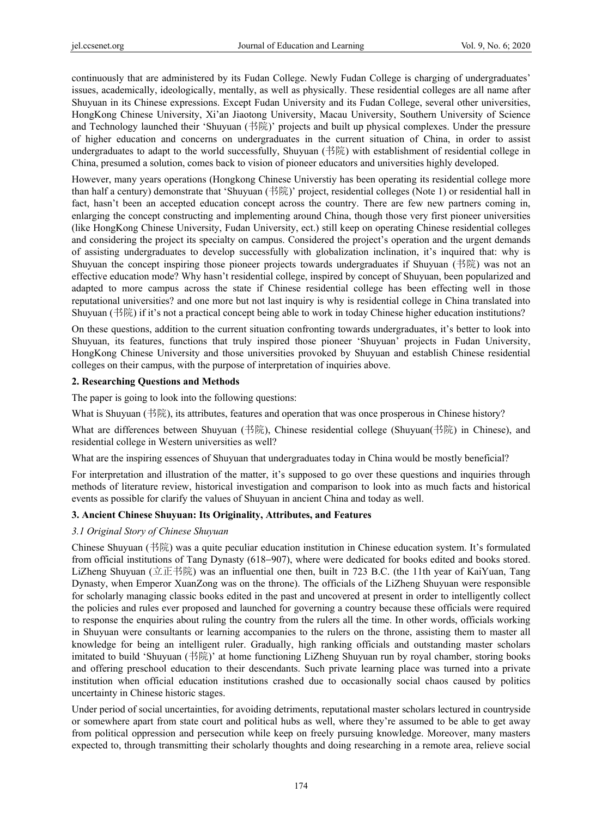continuously that are administered by its Fudan College. Newly Fudan College is charging of undergraduates' issues, academically, ideologically, mentally, as well as physically. These residential colleges are all name after Shuyuan in its Chinese expressions. Except Fudan University and its Fudan College, several other universities, HongKong Chinese University, Xi'an Jiaotong University, Macau University, Southern University of Science and Technology launched their 'Shuyuan (书院)' projects and built up physical complexes. Under the pressure of higher education and concerns on undergraduates in the current situation of China, in order to assist undergraduates to adapt to the world successfully, Shuyuan (书院) with establishment of residential college in China, presumed a solution, comes back to vision of pioneer educators and universities highly developed.

However, many years operations (Hongkong Chinese Universtiy has been operating its residential college more than half a century) demonstrate that 'Shuyuan (书院)' project, residential colleges (Note 1) or residential hall in fact, hasn't been an accepted education concept across the country. There are few new partners coming in, enlarging the concept constructing and implementing around China, though those very first pioneer universities (like HongKong Chinese University, Fudan University, ect.) still keep on operating Chinese residential colleges and considering the project its specialty on campus. Considered the project's operation and the urgent demands of assisting undergraduates to develop successfully with globalization inclination, it's inquired that: why is Shuyuan the concept inspiring those pioneer projects towards undergraduates if Shuyuan (书院) was not an effective education mode? Why hasn't residential college, inspired by concept of Shuyuan, been popularized and adapted to more campus across the state if Chinese residential college has been effecting well in those reputational universities? and one more but not last inquiry is why is residential college in China translated into Shuyuan (书院) if it's not a practical concept being able to work in today Chinese higher education institutions?

On these questions, addition to the current situation confronting towards undergraduates, it's better to look into Shuyuan, its features, functions that truly inspired those pioneer 'Shuyuan' projects in Fudan University, HongKong Chinese University and those universities provoked by Shuyuan and establish Chinese residential colleges on their campus, with the purpose of interpretation of inquiries above.

### **2. Researching Questions and Methods**

The paper is going to look into the following questions:

What is Shuyuan (书院), its attributes, features and operation that was once prosperous in Chinese history?

What are differences between Shuyuan (书院), Chinese residential college (Shuyuan(书院) in Chinese), and residential college in Western universities as well?

What are the inspiring essences of Shuyuan that undergraduates today in China would be mostly beneficial?

For interpretation and illustration of the matter, it's supposed to go over these questions and inquiries through methods of literature review, historical investigation and comparison to look into as much facts and historical events as possible for clarify the values of Shuyuan in ancient China and today as well.

#### **3. Ancient Chinese Shuyuan: Its Originality, Attributes, and Features**

#### *3.1 Original Story of Chinese Shuyuan*

Chinese Shuyuan (书院) was a quite peculiar education institution in Chinese education system. It's formulated from official institutions of Tang Dynasty (618−907), where were dedicated for books edited and books stored. LiZheng Shuyuan (立正书院) was an influential one then, built in 723 B.C. (the 11th year of KaiYuan, Tang Dynasty, when Emperor XuanZong was on the throne). The officials of the LiZheng Shuyuan were responsible for scholarly managing classic books edited in the past and uncovered at present in order to intelligently collect the policies and rules ever proposed and launched for governing a country because these officials were required to response the enquiries about ruling the country from the rulers all the time. In other words, officials working in Shuyuan were consultants or learning accompanies to the rulers on the throne, assisting them to master all knowledge for being an intelligent ruler. Gradually, high ranking officials and outstanding master scholars imitated to build 'Shuyuan (书院)' at home functioning LiZheng Shuyuan run by royal chamber, storing books and offering preschool education to their descendants. Such private learning place was turned into a private institution when official education institutions crashed due to occasionally social chaos caused by politics uncertainty in Chinese historic stages.

Under period of social uncertainties, for avoiding detriments, reputational master scholars lectured in countryside or somewhere apart from state court and political hubs as well, where they're assumed to be able to get away from political oppression and persecution while keep on freely pursuing knowledge. Moreover, many masters expected to, through transmitting their scholarly thoughts and doing researching in a remote area, relieve social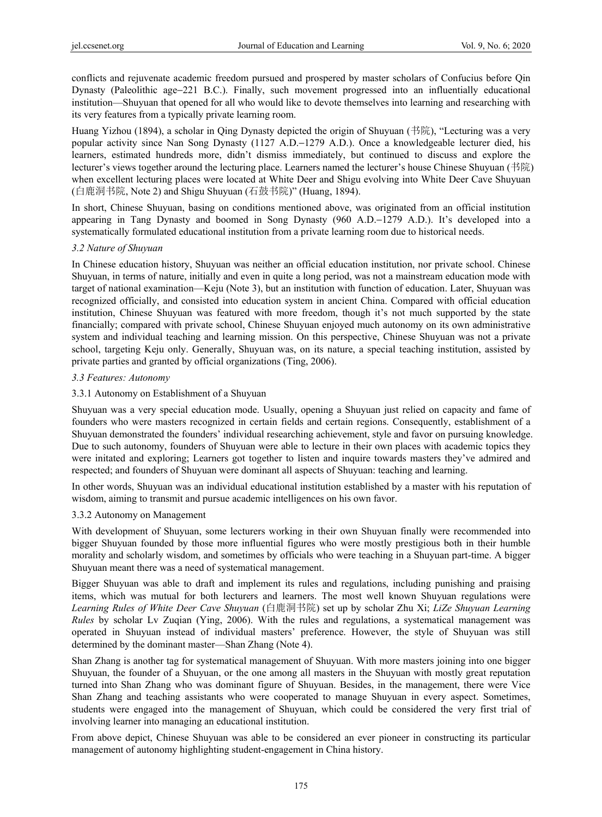conflicts and rejuvenate academic freedom pursued and prospered by master scholars of Confucius before Qin Dynasty (Paleolithic age−221 B.C.). Finally, such movement progressed into an influentially educational institution—Shuyuan that opened for all who would like to devote themselves into learning and researching with its very features from a typically private learning room.

Huang Yizhou (1894), a scholar in Qing Dynasty depicted the origin of Shuyuan (书院), "Lecturing was a very popular activity since Nan Song Dynasty (1127 A.D.−1279 A.D.). Once a knowledgeable lecturer died, his learners, estimated hundreds more, didn't dismiss immediately, but continued to discuss and explore the lecturer's views together around the lecturing place. Learners named the lecturer's house Chinese Shuyuan (书院) when excellent lecturing places were located at White Deer and Shigu evolving into White Deer Cave Shuyuan (白鹿洞书院, Note 2) and Shigu Shuyuan (石鼓书院)" (Huang, 1894).

In short, Chinese Shuyuan, basing on conditions mentioned above, was originated from an official institution appearing in Tang Dynasty and boomed in Song Dynasty (960 A.D.−1279 A.D.). It's developed into a systematically formulated educational institution from a private learning room due to historical needs.

#### *3.2 Nature of Shuyuan*

In Chinese education history, Shuyuan was neither an official education institution, nor private school. Chinese Shuyuan, in terms of nature, initially and even in quite a long period, was not a mainstream education mode with target of national examination—Keju (Note 3), but an institution with function of education. Later, Shuyuan was recognized officially, and consisted into education system in ancient China. Compared with official education institution, Chinese Shuyuan was featured with more freedom, though it's not much supported by the state financially; compared with private school, Chinese Shuyuan enjoyed much autonomy on its own administrative system and individual teaching and learning mission. On this perspective, Chinese Shuyuan was not a private school, targeting Keju only. Generally, Shuyuan was, on its nature, a special teaching institution, assisted by private parties and granted by official organizations (Ting, 2006).

#### *3.3 Features: Autonomy*

#### 3.3.1 Autonomy on Establishment of a Shuyuan

Shuyuan was a very special education mode. Usually, opening a Shuyuan just relied on capacity and fame of founders who were masters recognized in certain fields and certain regions. Consequently, establishment of a Shuyuan demonstrated the founders' individual researching achievement, style and favor on pursuing knowledge. Due to such autonomy, founders of Shuyuan were able to lecture in their own places with academic topics they were initated and exploring; Learners got together to listen and inquire towards masters they've admired and respected; and founders of Shuyuan were dominant all aspects of Shuyuan: teaching and learning.

In other words, Shuyuan was an individual educational institution established by a master with his reputation of wisdom, aiming to transmit and pursue academic intelligences on his own favor.

#### 3.3.2 Autonomy on Management

With development of Shuyuan, some lecturers working in their own Shuyuan finally were recommended into bigger Shuyuan founded by those more influential figures who were mostly prestigious both in their humble morality and scholarly wisdom, and sometimes by officials who were teaching in a Shuyuan part-time. A bigger Shuyuan meant there was a need of systematical management.

Bigger Shuyuan was able to draft and implement its rules and regulations, including punishing and praising items, which was mutual for both lecturers and learners. The most well known Shuyuan regulations were *Learning Rules of White Deer Cave Shuyuan* (白鹿洞书院) set up by scholar Zhu Xi; *LiZe Shuyuan Learning Rules* by scholar Lv Zuqian (Ying, 2006). With the rules and regulations, a systematical management was operated in Shuyuan instead of individual masters' preference. However, the style of Shuyuan was still determined by the dominant master—Shan Zhang (Note 4).

Shan Zhang is another tag for systematical management of Shuyuan. With more masters joining into one bigger Shuyuan, the founder of a Shuyuan, or the one among all masters in the Shuyuan with mostly great reputation turned into Shan Zhang who was dominant figure of Shuyuan. Besides, in the management, there were Vice Shan Zhang and teaching assistants who were cooperated to manage Shuyuan in every aspect. Sometimes, students were engaged into the management of Shuyuan, which could be considered the very first trial of involving learner into managing an educational institution.

From above depict, Chinese Shuyuan was able to be considered an ever pioneer in constructing its particular management of autonomy highlighting student-engagement in China history.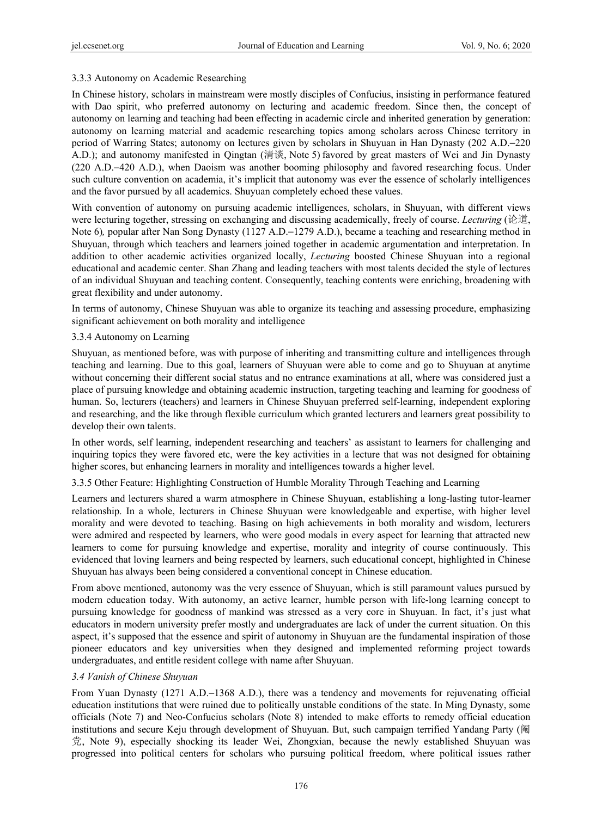### 3.3.3 Autonomy on Academic Researching

In Chinese history, scholars in mainstream were mostly disciples of Confucius, insisting in performance featured with Dao spirit, who preferred autonomy on lecturing and academic freedom. Since then, the concept of autonomy on learning and teaching had been effecting in academic circle and inherited generation by generation: autonomy on learning material and academic researching topics among scholars across Chinese territory in period of Warring States; autonomy on lectures given by scholars in Shuyuan in Han Dynasty (202 A.D.−220 A.D.); and autonomy manifested in Qingtan (清谈, Note 5) favored by great masters of Wei and Jin Dynasty (220 A.D.−420 A.D.), when Daoism was another booming philosophy and favored researching focus. Under such culture convention on academia, it's implicit that autonomy was ever the essence of scholarly intelligences and the favor pursued by all academics. Shuyuan completely echoed these values.

With convention of autonomy on pursuing academic intelligences, scholars, in Shuyuan, with different views were lecturing together, stressing on exchanging and discussing academically, freely of course. *Lecturing* (论道, Note 6)*,* popular after Nan Song Dynasty (1127 A.D.−1279 A.D.), became a teaching and researching method in Shuyuan, through which teachers and learners joined together in academic argumentation and interpretation. In addition to other academic activities organized locally, *Lecturing* boosted Chinese Shuyuan into a regional educational and academic center. Shan Zhang and leading teachers with most talents decided the style of lectures of an individual Shuyuan and teaching content. Consequently, teaching contents were enriching, broadening with great flexibility and under autonomy.

In terms of autonomy, Chinese Shuyuan was able to organize its teaching and assessing procedure, emphasizing significant achievement on both morality and intelligence

#### 3.3.4 Autonomy on Learning

Shuyuan, as mentioned before, was with purpose of inheriting and transmitting culture and intelligences through teaching and learning. Due to this goal, learners of Shuyuan were able to come and go to Shuyuan at anytime without concerning their different social status and no entrance examinations at all, where was considered just a place of pursuing knowledge and obtaining academic instruction, targeting teaching and learning for goodness of human. So, lecturers (teachers) and learners in Chinese Shuyuan preferred self-learning, independent exploring and researching, and the like through flexible curriculum which granted lecturers and learners great possibility to develop their own talents.

In other words, self learning, independent researching and teachers' as assistant to learners for challenging and inquiring topics they were favored etc, were the key activities in a lecture that was not designed for obtaining higher scores, but enhancing learners in morality and intelligences towards a higher level.

#### 3.3.5 Other Feature: Highlighting Construction of Humble Morality Through Teaching and Learning

Learners and lecturers shared a warm atmosphere in Chinese Shuyuan, establishing a long-lasting tutor-learner relationship. In a whole, lecturers in Chinese Shuyuan were knowledgeable and expertise, with higher level morality and were devoted to teaching. Basing on high achievements in both morality and wisdom, lecturers were admired and respected by learners, who were good modals in every aspect for learning that attracted new learners to come for pursuing knowledge and expertise, morality and integrity of course continuously. This evidenced that loving learners and being respected by learners, such educational concept, highlighted in Chinese Shuyuan has always been being considered a conventional concept in Chinese education.

From above mentioned, autonomy was the very essence of Shuyuan, which is still paramount values pursued by modern education today. With autonomy, an active learner, humble person with life-long learning concept to pursuing knowledge for goodness of mankind was stressed as a very core in Shuyuan. In fact, it's just what educators in modern university prefer mostly and undergraduates are lack of under the current situation. On this aspect, it's supposed that the essence and spirit of autonomy in Shuyuan are the fundamental inspiration of those pioneer educators and key universities when they designed and implemented reforming project towards undergraduates, and entitle resident college with name after Shuyuan.

#### *3.4 Vanish of Chinese Shuyuan*

From Yuan Dynasty (1271 A.D.−1368 A.D.), there was a tendency and movements for rejuvenating official education institutions that were ruined due to politically unstable conditions of the state. In Ming Dynasty, some officials (Note 7) and Neo-Confucius scholars (Note 8) intended to make efforts to remedy official education institutions and secure Keju through development of Shuyuan. But, such campaign terrified Yandang Party (阉 党, Note 9), especially shocking its leader Wei, Zhongxian, because the newly established Shuyuan was progressed into political centers for scholars who pursuing political freedom, where political issues rather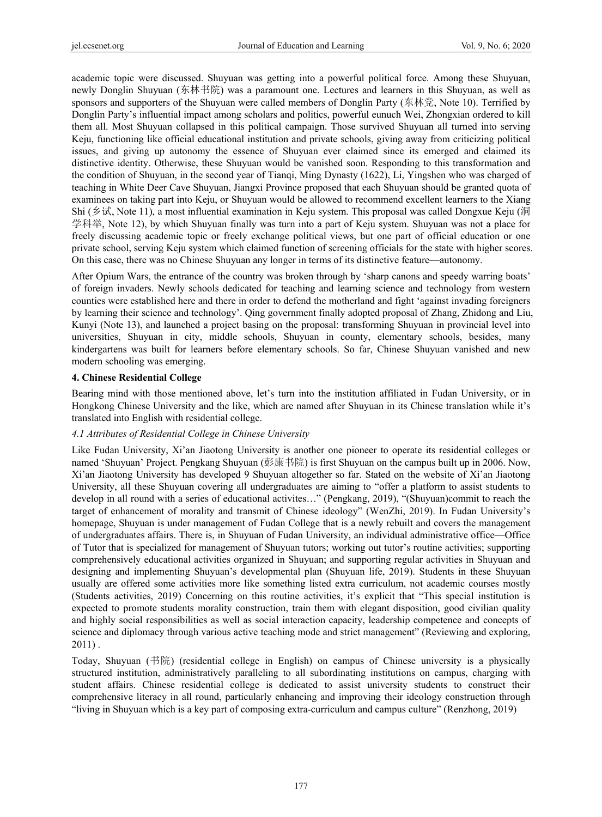academic topic were discussed. Shuyuan was getting into a powerful political force. Among these Shuyuan, newly Donglin Shuyuan (东林书院) was a paramount one. Lectures and learners in this Shuyuan, as well as sponsors and supporters of the Shuyuan were called members of Donglin Party (东林党, Note 10). Terrified by Donglin Party's influential impact among scholars and politics, powerful eunuch Wei, Zhongxian ordered to kill them all. Most Shuyuan collapsed in this political campaign. Those survived Shuyuan all turned into serving Keju, functioning like official educational institution and private schools, giving away from criticizing political issues, and giving up autonomy the essence of Shuyuan ever claimed since its emerged and claimed its distinctive identity. Otherwise, these Shuyuan would be vanished soon. Responding to this transformation and the condition of Shuyuan, in the second year of Tianqi, Ming Dynasty (1622), Li, Yingshen who was charged of teaching in White Deer Cave Shuyuan, Jiangxi Province proposed that each Shuyuan should be granted quota of examinees on taking part into Keju, or Shuyuan would be allowed to recommend excellent learners to the Xiang Shi (乡试, Note 11), a most influential examination in Keju system. This proposal was called Dongxue Keju (洞 学科举, Note 12), by which Shuyuan finally was turn into a part of Keju system. Shuyuan was not a place for freely discussing academic topic or freely exchange political views, but one part of official education or one private school, serving Keju system which claimed function of screening officials for the state with higher scores. On this case, there was no Chinese Shuyuan any longer in terms of its distinctive feature—autonomy.

After Opium Wars, the entrance of the country was broken through by 'sharp canons and speedy warring boats' of foreign invaders. Newly schools dedicated for teaching and learning science and technology from western counties were established here and there in order to defend the motherland and fight 'against invading foreigners by learning their science and technology'. Qing government finally adopted proposal of Zhang, Zhidong and Liu, Kunyi (Note 13), and launched a project basing on the proposal: transforming Shuyuan in provincial level into universities, Shuyuan in city, middle schools, Shuyuan in county, elementary schools, besides, many kindergartens was built for learners before elementary schools. So far, Chinese Shuyuan vanished and new modern schooling was emerging.

### **4. Chinese Residential College**

Bearing mind with those mentioned above, let's turn into the institution affiliated in Fudan University, or in Hongkong Chinese University and the like, which are named after Shuyuan in its Chinese translation while it's translated into English with residential college.

#### *4.1 Attributes of Residential College in Chinese University*

Like Fudan University, Xi'an Jiaotong University is another one pioneer to operate its residential colleges or named 'Shuyuan' Project. Pengkang Shuyuan (彭康书院) is first Shuyuan on the campus built up in 2006. Now, Xi'an Jiaotong University has developed 9 Shuyuan altogether so far. Stated on the website of Xi'an Jiaotong University, all these Shuyuan covering all undergraduates are aiming to "offer a platform to assist students to develop in all round with a series of educational activites…" (Pengkang, 2019), "(Shuyuan)commit to reach the target of enhancement of morality and transmit of Chinese ideology" (WenZhi, 2019). In Fudan University's homepage, Shuyuan is under management of Fudan College that is a newly rebuilt and covers the management of undergraduates affairs. There is, in Shuyuan of Fudan University, an individual administrative office—Office of Tutor that is specialized for management of Shuyuan tutors; working out tutor's routine activities; supporting comprehensively educational activities organized in Shuyuan; and supporting regular activities in Shuyuan and designing and implementing Shuyuan's developmental plan (Shuyuan life, 2019). Students in these Shuyuan usually are offered some activities more like something listed extra curriculum, not academic courses mostly (Students activities, 2019) Concerning on this routine activities, it's explicit that "This special institution is expected to promote students morality construction, train them with elegant disposition, good civilian quality and highly social responsibilities as well as social interaction capacity, leadership competence and concepts of science and diplomacy through various active teaching mode and strict management" (Reviewing and exploring, 2011) .

Today, Shuyuan (书院) (residential college in English) on campus of Chinese university is a physically structured institution, administratively paralleling to all subordinating institutions on campus, charging with student affairs. Chinese residential college is dedicated to assist university students to construct their comprehensive literacy in all round, particularly enhancing and improving their ideology construction through "living in Shuyuan which is a key part of composing extra-curriculum and campus culture" (Renzhong, 2019)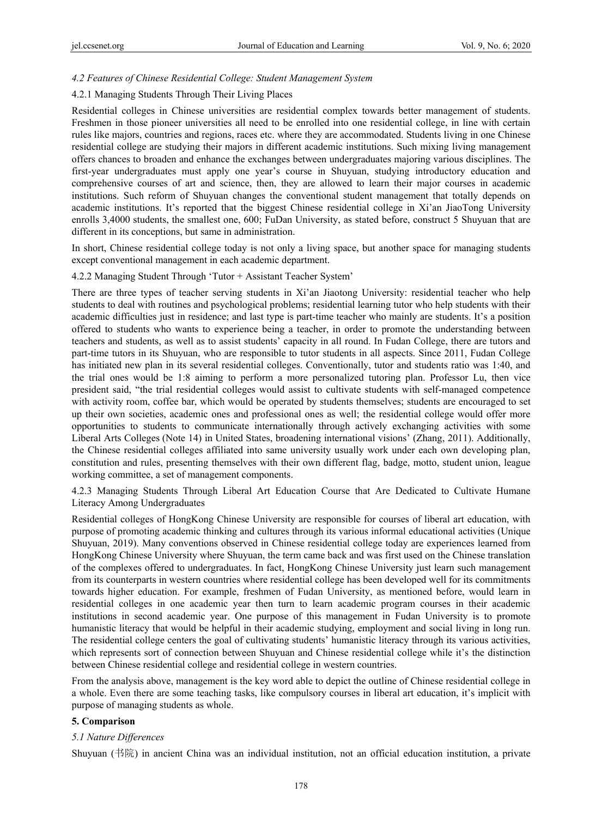#### *4.2 Features of Chinese Residential College: Student Management System*

#### 4.2.1 Managing Students Through Their Living Places

Residential colleges in Chinese universities are residential complex towards better management of students. Freshmen in those pioneer universities all need to be enrolled into one residential college, in line with certain rules like majors, countries and regions, races etc. where they are accommodated. Students living in one Chinese residential college are studying their majors in different academic institutions. Such mixing living management offers chances to broaden and enhance the exchanges between undergraduates majoring various disciplines. The first-year undergraduates must apply one year's course in Shuyuan, studying introductory education and comprehensive courses of art and science, then, they are allowed to learn their major courses in academic institutions. Such reform of Shuyuan changes the conventional student management that totally depends on academic institutions. It's reported that the biggest Chinese residential college in Xi'an JiaoTong University enrolls 3,4000 students, the smallest one, 600; FuDan University, as stated before, construct 5 Shuyuan that are different in its conceptions, but same in administration.

In short, Chinese residential college today is not only a living space, but another space for managing students except conventional management in each academic department.

#### 4.2.2 Managing Student Through 'Tutor + Assistant Teacher System'

There are three types of teacher serving students in Xi'an Jiaotong University: residential teacher who help students to deal with routines and psychological problems; residential learning tutor who help students with their academic difficulties just in residence; and last type is part-time teacher who mainly are students. It's a position offered to students who wants to experience being a teacher, in order to promote the understanding between teachers and students, as well as to assist students' capacity in all round. In Fudan College, there are tutors and part-time tutors in its Shuyuan, who are responsible to tutor students in all aspects. Since 2011, Fudan College has initiated new plan in its several residential colleges. Conventionally, tutor and students ratio was 1:40, and the trial ones would be 1:8 aiming to perform a more personalized tutoring plan. Professor Lu, then vice president said, "the trial residential colleges would assist to cultivate students with self-managed competence with activity room, coffee bar, which would be operated by students themselves; students are encouraged to set up their own societies, academic ones and professional ones as well; the residential college would offer more opportunities to students to communicate internationally through actively exchanging activities with some Liberal Arts Colleges (Note 14) in United States, broadening international visions' (Zhang, 2011). Additionally, the Chinese residential colleges affiliated into same university usually work under each own developing plan, constitution and rules, presenting themselves with their own different flag, badge, motto, student union, league working committee, a set of management components.

4.2.3 Managing Students Through Liberal Art Education Course that Are Dedicated to Cultivate Humane Literacy Among Undergraduates

Residential colleges of HongKong Chinese University are responsible for courses of liberal art education, with purpose of promoting academic thinking and cultures through its various informal educational activities (Unique Shuyuan, 2019). Many conventions observed in Chinese residential college today are experiences learned from HongKong Chinese University where Shuyuan, the term came back and was first used on the Chinese translation of the complexes offered to undergraduates. In fact, HongKong Chinese University just learn such management from its counterparts in western countries where residential college has been developed well for its commitments towards higher education. For example, freshmen of Fudan University, as mentioned before, would learn in residential colleges in one academic year then turn to learn academic program courses in their academic institutions in second academic year. One purpose of this management in Fudan University is to promote humanistic literacy that would be helpful in their academic studying, employment and social living in long run. The residential college centers the goal of cultivating students' humanistic literacy through its various activities, which represents sort of connection between Shuyuan and Chinese residential college while it's the distinction between Chinese residential college and residential college in western countries.

From the analysis above, management is the key word able to depict the outline of Chinese residential college in a whole. Even there are some teaching tasks, like compulsory courses in liberal art education, it's implicit with purpose of managing students as whole.

#### **5. Comparison**

#### *5.1 Nature Differences*

Shuyuan (书院) in ancient China was an individual institution, not an official education institution, a private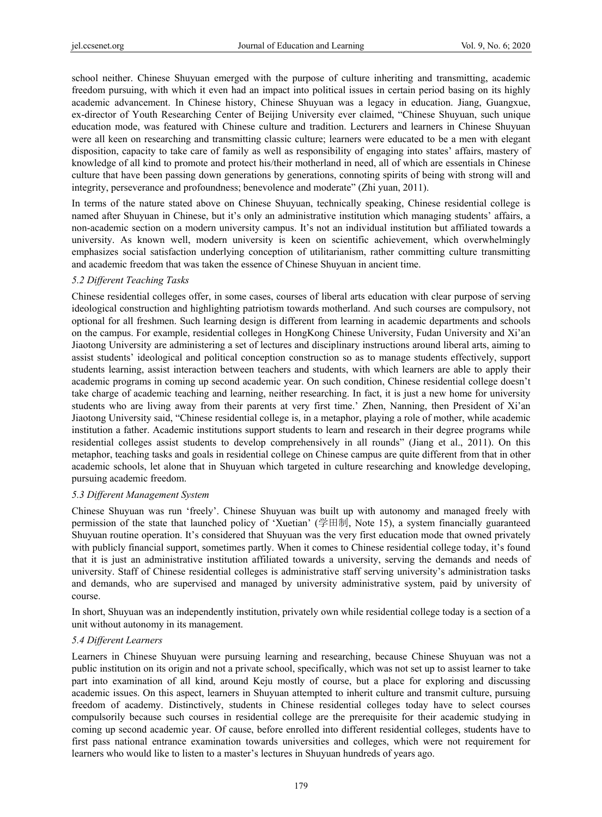school neither. Chinese Shuyuan emerged with the purpose of culture inheriting and transmitting, academic freedom pursuing, with which it even had an impact into political issues in certain period basing on its highly academic advancement. In Chinese history, Chinese Shuyuan was a legacy in education. Jiang, Guangxue, ex-director of Youth Researching Center of Beijing University ever claimed, "Chinese Shuyuan, such unique education mode, was featured with Chinese culture and tradition. Lecturers and learners in Chinese Shuyuan were all keen on researching and transmitting classic culture; learners were educated to be a men with elegant disposition, capacity to take care of family as well as responsibility of engaging into states' affairs, mastery of knowledge of all kind to promote and protect his/their motherland in need, all of which are essentials in Chinese culture that have been passing down generations by generations, connoting spirits of being with strong will and integrity, perseverance and profoundness; benevolence and moderate" (Zhi yuan, 2011).

In terms of the nature stated above on Chinese Shuyuan, technically speaking, Chinese residential college is named after Shuyuan in Chinese, but it's only an administrative institution which managing students' affairs, a non-academic section on a modern university campus. It's not an individual institution but affiliated towards a university. As known well, modern university is keen on scientific achievement, which overwhelmingly emphasizes social satisfaction underlying conception of utilitarianism, rather committing culture transmitting and academic freedom that was taken the essence of Chinese Shuyuan in ancient time.

### *5.2 Different Teaching Tasks*

Chinese residential colleges offer, in some cases, courses of liberal arts education with clear purpose of serving ideological construction and highlighting patriotism towards motherland. And such courses are compulsory, not optional for all freshmen. Such learning design is different from learning in academic departments and schools on the campus. For example, residential colleges in HongKong Chinese University, Fudan University and Xi'an Jiaotong University are administering a set of lectures and disciplinary instructions around liberal arts, aiming to assist students' ideological and political conception construction so as to manage students effectively, support students learning, assist interaction between teachers and students, with which learners are able to apply their academic programs in coming up second academic year. On such condition, Chinese residential college doesn't take charge of academic teaching and learning, neither researching. In fact, it is just a new home for university students who are living away from their parents at very first time.' Zhen, Nanning, then President of Xi'an Jiaotong University said, "Chinese residential college is, in a metaphor, playing a role of mother, while academic institution a father. Academic institutions support students to learn and research in their degree programs while residential colleges assist students to develop comprehensively in all rounds" (Jiang et al., 2011). On this metaphor, teaching tasks and goals in residential college on Chinese campus are quite different from that in other academic schools, let alone that in Shuyuan which targeted in culture researching and knowledge developing, pursuing academic freedom.

#### *5.3 Different Management System*

Chinese Shuyuan was run 'freely'. Chinese Shuyuan was built up with autonomy and managed freely with permission of the state that launched policy of 'Xuetian' (学田制, Note 15), a system financially guaranteed Shuyuan routine operation. It's considered that Shuyuan was the very first education mode that owned privately with publicly financial support, sometimes partly. When it comes to Chinese residential college today, it's found that it is just an administrative institution affiliated towards a university, serving the demands and needs of university. Staff of Chinese residential colleges is administrative staff serving university's administration tasks and demands, who are supervised and managed by university administrative system, paid by university of course.

In short, Shuyuan was an independently institution, privately own while residential college today is a section of a unit without autonomy in its management.

## *5.4 Different Learners*

Learners in Chinese Shuyuan were pursuing learning and researching, because Chinese Shuyuan was not a public institution on its origin and not a private school, specifically, which was not set up to assist learner to take part into examination of all kind, around Keju mostly of course, but a place for exploring and discussing academic issues. On this aspect, learners in Shuyuan attempted to inherit culture and transmit culture, pursuing freedom of academy. Distinctively, students in Chinese residential colleges today have to select courses compulsorily because such courses in residential college are the prerequisite for their academic studying in coming up second academic year. Of cause, before enrolled into different residential colleges, students have to first pass national entrance examination towards universities and colleges, which were not requirement for learners who would like to listen to a master's lectures in Shuyuan hundreds of years ago.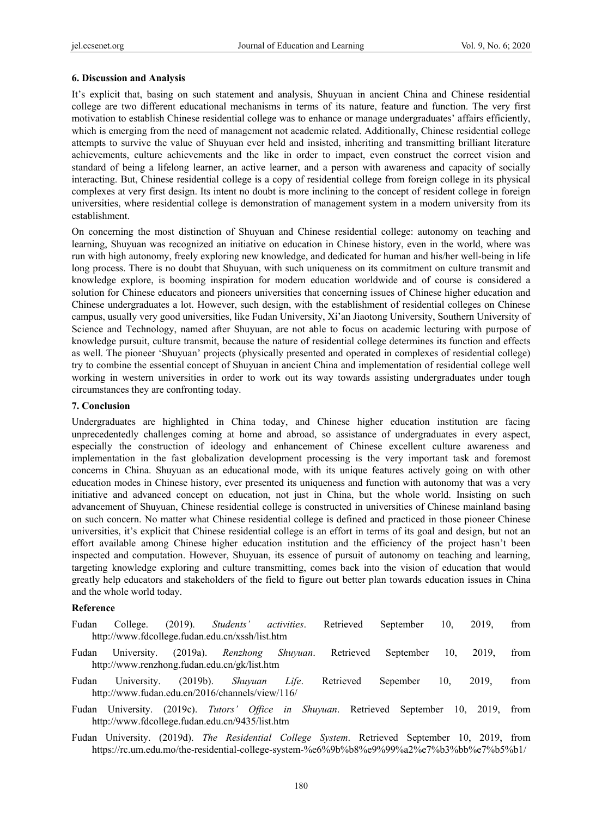#### **6. Discussion and Analysis**

It's explicit that, basing on such statement and analysis, Shuyuan in ancient China and Chinese residential college are two different educational mechanisms in terms of its nature, feature and function. The very first motivation to establish Chinese residential college was to enhance or manage undergraduates' affairs efficiently, which is emerging from the need of management not academic related. Additionally, Chinese residential college attempts to survive the value of Shuyuan ever held and insisted, inheriting and transmitting brilliant literature achievements, culture achievements and the like in order to impact, even construct the correct vision and standard of being a lifelong learner, an active learner, and a person with awareness and capacity of socially interacting. But, Chinese residential college is a copy of residential college from foreign college in its physical complexes at very first design. Its intent no doubt is more inclining to the concept of resident college in foreign universities, where residential college is demonstration of management system in a modern university from its establishment.

On concerning the most distinction of Shuyuan and Chinese residential college: autonomy on teaching and learning, Shuyuan was recognized an initiative on education in Chinese history, even in the world, where was run with high autonomy, freely exploring new knowledge, and dedicated for human and his/her well-being in life long process. There is no doubt that Shuyuan, with such uniqueness on its commitment on culture transmit and knowledge explore, is booming inspiration for modern education worldwide and of course is considered a solution for Chinese educators and pioneers universities that concerning issues of Chinese higher education and Chinese undergraduates a lot. However, such design, with the establishment of residential colleges on Chinese campus, usually very good universities, like Fudan University, Xi'an Jiaotong University, Southern University of Science and Technology, named after Shuyuan, are not able to focus on academic lecturing with purpose of knowledge pursuit, culture transmit, because the nature of residential college determines its function and effects as well. The pioneer 'Shuyuan' projects (physically presented and operated in complexes of residential college) try to combine the essential concept of Shuyuan in ancient China and implementation of residential college well working in western universities in order to work out its way towards assisting undergraduates under tough circumstances they are confronting today.

#### **7. Conclusion**

Undergraduates are highlighted in China today, and Chinese higher education institution are facing unprecedentedly challenges coming at home and abroad, so assistance of undergraduates in every aspect, especially the construction of ideology and enhancement of Chinese excellent culture awareness and implementation in the fast globalization development processing is the very important task and foremost concerns in China. Shuyuan as an educational mode, with its unique features actively going on with other education modes in Chinese history, ever presented its uniqueness and function with autonomy that was a very initiative and advanced concept on education, not just in China, but the whole world. Insisting on such advancement of Shuyuan, Chinese residential college is constructed in universities of Chinese mainland basing on such concern. No matter what Chinese residential college is defined and practiced in those pioneer Chinese universities, it's explicit that Chinese residential college is an effort in terms of its goal and design, but not an effort available among Chinese higher education institution and the efficiency of the project hasn't been inspected and computation. However, Shuyuan, its essence of pursuit of autonomy on teaching and learning, targeting knowledge exploring and culture transmitting, comes back into the vision of education that would greatly help educators and stakeholders of the field to figure out better plan towards education issues in China and the whole world today.

#### **Reference**

|               |                                                 |                             |  | Fudan College. (2019). Students' activities. Retrieved September 10, 2019, from |                      |  |
|---------------|-------------------------------------------------|-----------------------------|--|---------------------------------------------------------------------------------|----------------------|--|
|               | http://www.fdcollege.fudan.edu.cn/xssh/list.htm |                             |  |                                                                                 |                      |  |
| $\sim$ $\sim$ |                                                 | $\sim$ $\sim$ $\sim$ $\sim$ |  |                                                                                 | $\sim$ $\sim$ $\sim$ |  |

- Fudan University. (2019a). *Renzhong Shuyuan*. Retrieved September 10, 2019, from http://www.renzhong.fudan.edu.cn/gk/list.htm
- Fudan University. (2019b). *Shuyuan Life*. Retrieved Sepember 10, 2019, from http://www.fudan.edu.cn/2016/channels/view/116/
- Fudan University. (2019c). *Tutors' Office in Shuyuan*. Retrieved September 10, 2019, from http://www.fdcollege.fudan.edu.cn/9435/list.htm
- Fudan University. (2019d). *The Residential College System*. Retrieved September 10, 2019, from https://rc.um.edu.mo/the-residential-college-system-%e6%9b%b8%e9%99%a2%e7%b3%bb%e7%b5%b1/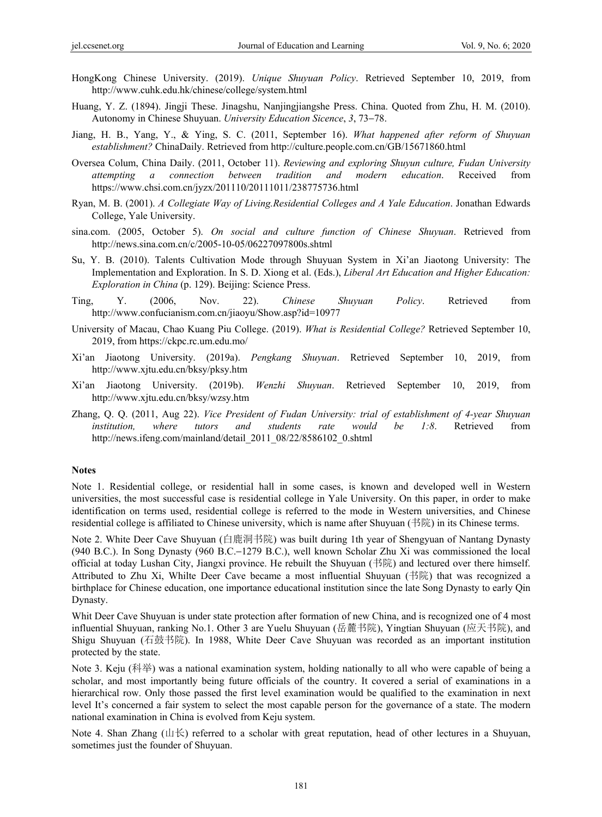- HongKong Chinese University. (2019). *Unique Shuyuan Policy*. Retrieved September 10, 2019, from http://www.cuhk.edu.hk/chinese/college/system.html
- Huang, Y. Z. (1894). Jingji These. Jinagshu, Nanjingjiangshe Press. China. Quoted from Zhu, H. M. (2010). Autonomy in Chinese Shuyuan. *University Education Sicence*, *3*, 73−78.
- Jiang, H. B., Yang, Y., & Ying, S. C. (2011, September 16). *What happened after reform of Shuyuan establishment?* ChinaDaily. Retrieved from http://culture.people.com.cn/GB/15671860.html
- Oversea Colum, China Daily. (2011, October 11). *Reviewing and exploring Shuyun culture, Fudan University attempting a connection between tradition and modern education*. Received from https://www.chsi.com.cn/jyzx/201110/20111011/238775736.html
- Ryan, M. B. (2001). *A Collegiate Way of Living.Residential Colleges and A Yale Education*. Jonathan Edwards College, Yale University.
- sina.com. (2005, October 5). *On social and culture function of Chinese Shuyuan*. Retrieved from http://news.sina.com.cn/c/2005-10-05/06227097800s.shtml
- Su, Y. B. (2010). Talents Cultivation Mode through Shuyuan System in Xi'an Jiaotong University: The Implementation and Exploration. In S. D. Xiong et al. (Eds.), *Liberal Art Education and Higher Education: Exploration in China* (p. 129). Beijing: Science Press.
- Ting, Y. (2006, Nov. 22). *Chinese Shuyuan Policy*. Retrieved from http://www.confucianism.com.cn/jiaoyu/Show.asp?id=10977
- University of Macau, Chao Kuang Piu College. (2019). *What is Residential College?* Retrieved September 10, 2019, from https://ckpc.rc.um.edu.mo/
- Xi'an Jiaotong University. (2019a). *Pengkang Shuyuan*. Retrieved September 10, 2019, from http://www.xjtu.edu.cn/bksy/pksy.htm
- Xi'an Jiaotong University. (2019b). *Wenzhi Shuyuan*. Retrieved September 10, 2019, from http://www.xjtu.edu.cn/bksy/wzsy.htm
- Zhang, Q. Q. (2011, Aug 22). *Vice President of Fudan University: trial of establishment of 4-year Shuyuan institution, where tutors and students rate would be 1:8*. Retrieved from http://news.ifeng.com/mainland/detail\_2011\_08/22/8586102\_0.shtml

#### **Notes**

Note 1. Residential college, or residential hall in some cases, is known and developed well in Western universities, the most successful case is residential college in Yale University. On this paper, in order to make identification on terms used, residential college is referred to the mode in Western universities, and Chinese residential college is affiliated to Chinese university, which is name after Shuyuan (书院) in its Chinese terms.

Note 2. White Deer Cave Shuyuan (白鹿洞书院) was built during 1th year of Shengyuan of Nantang Dynasty (940 B.C.). In Song Dynasty (960 B.C.−1279 B.C.), well known Scholar Zhu Xi was commissioned the local official at today Lushan City, Jiangxi province. He rebuilt the Shuyuan (书院) and lectured over there himself. Attributed to Zhu Xi, Whilte Deer Cave became a most influential Shuyuan (书院) that was recognized a birthplace for Chinese education, one importance educational institution since the late Song Dynasty to early Qin Dynasty.

Whit Deer Cave Shuyuan is under state protection after formation of new China, and is recognized one of 4 most influential Shuyuan, ranking No.1. Other 3 are Yuelu Shuyuan (岳麓书院), Yingtian Shuyuan (应天书院), and Shigu Shuyuan (石鼓书院). In 1988, White Deer Cave Shuyuan was recorded as an important institution protected by the state.

Note 3. Keju (科举) was a national examination system, holding nationally to all who were capable of being a scholar, and most importantly being future officials of the country. It covered a serial of examinations in a hierarchical row. Only those passed the first level examination would be qualified to the examination in next level It's concerned a fair system to select the most capable person for the governance of a state. The modern national examination in China is evolved from Keju system.

Note 4. Shan Zhang (山长) referred to a scholar with great reputation, head of other lectures in a Shuyuan, sometimes just the founder of Shuyuan.